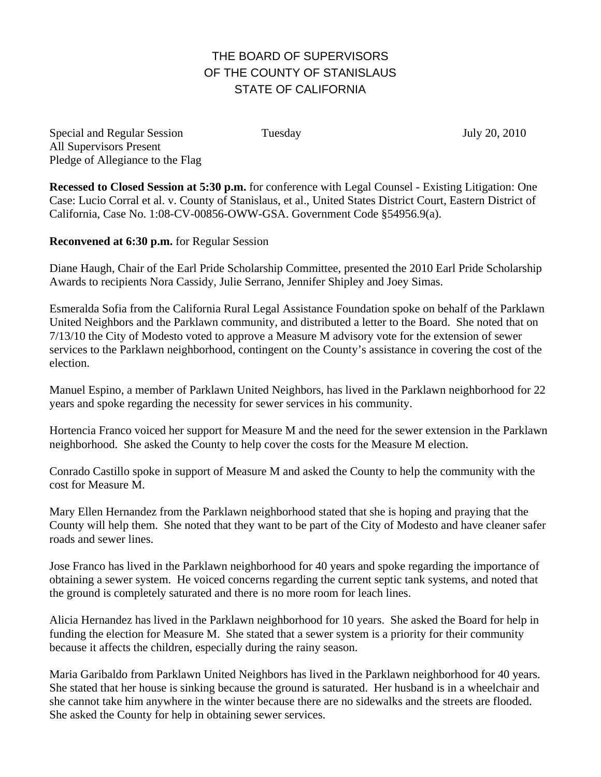## THE BOARD OF SUPERVISORS OF THE COUNTY OF STANISLAUS STATE OF CALIFORNIA

Special and Regular Session Tuesday July 20, 2010 All Supervisors Present Pledge of Allegiance to the Flag

**Recessed to Closed Session at 5:30 p.m.** for conference with Legal Counsel - Existing Litigation: One Case: Lucio Corral et al. v. County of Stanislaus, et al., United States District Court, Eastern District of California, Case No. 1:08-CV-00856-OWW-GSA. Government Code §54956.9(a).

**Reconvened at 6:30 p.m.** for Regular Session

Diane Haugh, Chair of the Earl Pride Scholarship Committee, presented the 2010 Earl Pride Scholarship Awards to recipients Nora Cassidy, Julie Serrano, Jennifer Shipley and Joey Simas.

Esmeralda Sofia from the California Rural Legal Assistance Foundation spoke on behalf of the Parklawn United Neighbors and the Parklawn community, and distributed a letter to the Board. She noted that on 7/13/10 the City of Modesto voted to approve a Measure M advisory vote for the extension of sewer services to the Parklawn neighborhood, contingent on the County's assistance in covering the cost of the election.

Manuel Espino, a member of Parklawn United Neighbors, has lived in the Parklawn neighborhood for 22 years and spoke regarding the necessity for sewer services in his community.

Hortencia Franco voiced her support for Measure M and the need for the sewer extension in the Parklawn neighborhood. She asked the County to help cover the costs for the Measure M election.

Conrado Castillo spoke in support of Measure M and asked the County to help the community with the cost for Measure M.

Mary Ellen Hernandez from the Parklawn neighborhood stated that she is hoping and praying that the County will help them. She noted that they want to be part of the City of Modesto and have cleaner safer roads and sewer lines.

Jose Franco has lived in the Parklawn neighborhood for 40 years and spoke regarding the importance of obtaining a sewer system. He voiced concerns regarding the current septic tank systems, and noted that the ground is completely saturated and there is no more room for leach lines.

Alicia Hernandez has lived in the Parklawn neighborhood for 10 years. She asked the Board for help in funding the election for Measure M. She stated that a sewer system is a priority for their community because it affects the children, especially during the rainy season.

Maria Garibaldo from Parklawn United Neighbors has lived in the Parklawn neighborhood for 40 years. She stated that her house is sinking because the ground is saturated. Her husband is in a wheelchair and she cannot take him anywhere in the winter because there are no sidewalks and the streets are flooded. She asked the County for help in obtaining sewer services.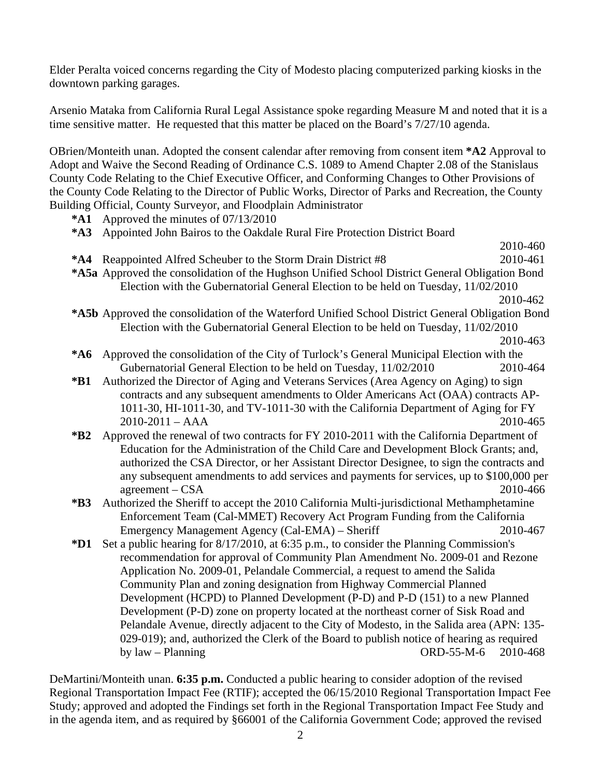Elder Peralta voiced concerns regarding the City of Modesto placing computerized parking kiosks in the downtown parking garages.

Arsenio Mataka from California Rural Legal Assistance spoke regarding Measure M and noted that it is a time sensitive matter. He requested that this matter be placed on the Board's 7/27/10 agenda.

OBrien/Monteith unan. Adopted the consent calendar after removing from consent item **\*A2** Approval to Adopt and Waive the Second Reading of Ordinance C.S. 1089 to Amend Chapter 2.08 of the Stanislaus County Code Relating to the Chief Executive Officer, and Conforming Changes to Other Provisions of the County Code Relating to the Director of Public Works, Director of Parks and Recreation, the County Building Official, County Surveyor, and Floodplain Administrator

- **\*A1** Approved the minutes of 07/13/2010
- **\*A3** Appointed John Bairos to the Oakdale Rural Fire Protection District Board
- 2010-460 **\*A4** Reappointed Alfred Scheuber to the Storm Drain District #8 2010-461 **\*A5a** Approved the consolidation of the Hughson Unified School District General Obligation Bond Election with the Gubernatorial General Election to be held on Tuesday, 11/02/2010

2010-462

- **\*A5b** Approved the consolidation of the Waterford Unified School District General Obligation Bond Election with the Gubernatorial General Election to be held on Tuesday, 11/02/2010
- 2010-463
- **\*A6** Approved the consolidation of the City of Turlock's General Municipal Election with the Gubernatorial General Election to be held on Tuesday, 11/02/2010 2010-464
- **\*B1** Authorized the Director of Aging and Veterans Services (Area Agency on Aging) to sign contracts and any subsequent amendments to Older Americans Act (OAA) contracts AP-1011-30, HI-1011-30, and TV-1011-30 with the California Department of Aging for FY 2010-2011 – AAA 2010-465
- **\*B2** Approved the renewal of two contracts for FY 2010-2011 with the California Department of Education for the Administration of the Child Care and Development Block Grants; and, authorized the CSA Director, or her Assistant Director Designee, to sign the contracts and any subsequent amendments to add services and payments for services, up to \$100,000 per agreement – CSA 2010-466
- **\*B3** Authorized the Sheriff to accept the 2010 California Multi-jurisdictional Methamphetamine Enforcement Team (Cal-MMET) Recovery Act Program Funding from the California Emergency Management Agency (Cal-EMA) – Sheriff 2010-467
- **\*D1** Set a public hearing for 8/17/2010, at 6:35 p.m., to consider the Planning Commission's recommendation for approval of Community Plan Amendment No. 2009-01 and Rezone Application No. 2009-01, Pelandale Commercial, a request to amend the Salida Community Plan and zoning designation from Highway Commercial Planned Development (HCPD) to Planned Development (P-D) and P-D (151) to a new Planned Development (P-D) zone on property located at the northeast corner of Sisk Road and Pelandale Avenue, directly adjacent to the City of Modesto, in the Salida area (APN: 135- 029-019); and, authorized the Clerk of the Board to publish notice of hearing as required by law – Planning ORD-55-M-6 2010-468

DeMartini/Monteith unan. **6:35 p.m.** Conducted a public hearing to consider adoption of the revised Regional Transportation Impact Fee (RTIF); accepted the 06/15/2010 Regional Transportation Impact Fee Study; approved and adopted the Findings set forth in the Regional Transportation Impact Fee Study and in the agenda item, and as required by §66001 of the California Government Code; approved the revised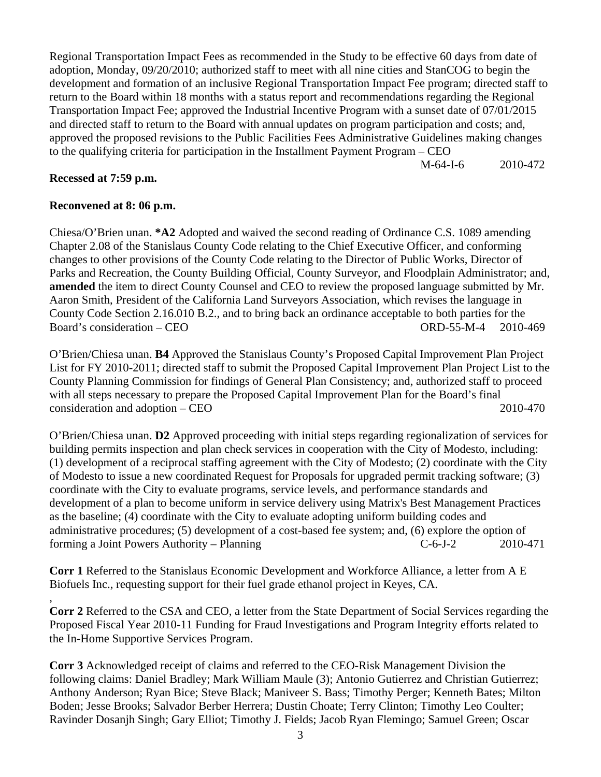Regional Transportation Impact Fees as recommended in the Study to be effective 60 days from date of adoption, Monday, 09/20/2010; authorized staff to meet with all nine cities and StanCOG to begin the development and formation of an inclusive Regional Transportation Impact Fee program; directed staff to return to the Board within 18 months with a status report and recommendations regarding the Regional Transportation Impact Fee; approved the Industrial Incentive Program with a sunset date of 07/01/2015 and directed staff to return to the Board with annual updates on program participation and costs; and, approved the proposed revisions to the Public Facilities Fees Administrative Guidelines making changes to the qualifying criteria for participation in the Installment Payment Program – CEO

M-64-I-6 2010-472

## **Recessed at 7:59 p.m.**

,

## **Reconvened at 8: 06 p.m.**

Chiesa/O'Brien unan. **\*A2** Adopted and waived the second reading of Ordinance C.S. 1089 amending Chapter 2.08 of the Stanislaus County Code relating to the Chief Executive Officer, and conforming changes to other provisions of the County Code relating to the Director of Public Works, Director of Parks and Recreation, the County Building Official, County Surveyor, and Floodplain Administrator; and, **amended** the item to direct County Counsel and CEO to review the proposed language submitted by Mr. Aaron Smith, President of the California Land Surveyors Association, which revises the language in County Code Section 2.16.010 B.2., and to bring back an ordinance acceptable to both parties for the Board's consideration – CEO ORD-55-M-4 2010-469

O'Brien/Chiesa unan. **B4** Approved the Stanislaus County's Proposed Capital Improvement Plan Project List for FY 2010-2011; directed staff to submit the Proposed Capital Improvement Plan Project List to the County Planning Commission for findings of General Plan Consistency; and, authorized staff to proceed with all steps necessary to prepare the Proposed Capital Improvement Plan for the Board's final consideration and adoption – CEO 2010-470

O'Brien/Chiesa unan. **D2** Approved proceeding with initial steps regarding regionalization of services for building permits inspection and plan check services in cooperation with the City of Modesto, including: (1) development of a reciprocal staffing agreement with the City of Modesto; (2) coordinate with the City of Modesto to issue a new coordinated Request for Proposals for upgraded permit tracking software; (3) coordinate with the City to evaluate programs, service levels, and performance standards and development of a plan to become uniform in service delivery using Matrix's Best Management Practices as the baseline; (4) coordinate with the City to evaluate adopting uniform building codes and administrative procedures; (5) development of a cost-based fee system; and, (6) explore the option of forming a Joint Powers Authority – Planning C-6-J-2 2010-471

**Corr 1** Referred to the Stanislaus Economic Development and Workforce Alliance, a letter from A E Biofuels Inc., requesting support for their fuel grade ethanol project in Keyes, CA.

**Corr 2** Referred to the CSA and CEO, a letter from the State Department of Social Services regarding the Proposed Fiscal Year 2010-11 Funding for Fraud Investigations and Program Integrity efforts related to the In-Home Supportive Services Program.

**Corr 3** Acknowledged receipt of claims and referred to the CEO-Risk Management Division the following claims: Daniel Bradley; Mark William Maule (3); Antonio Gutierrez and Christian Gutierrez; Anthony Anderson; Ryan Bice; Steve Black; Maniveer S. Bass; Timothy Perger; Kenneth Bates; Milton Boden; Jesse Brooks; Salvador Berber Herrera; Dustin Choate; Terry Clinton; Timothy Leo Coulter; Ravinder Dosanjh Singh; Gary Elliot; Timothy J. Fields; Jacob Ryan Flemingo; Samuel Green; Oscar